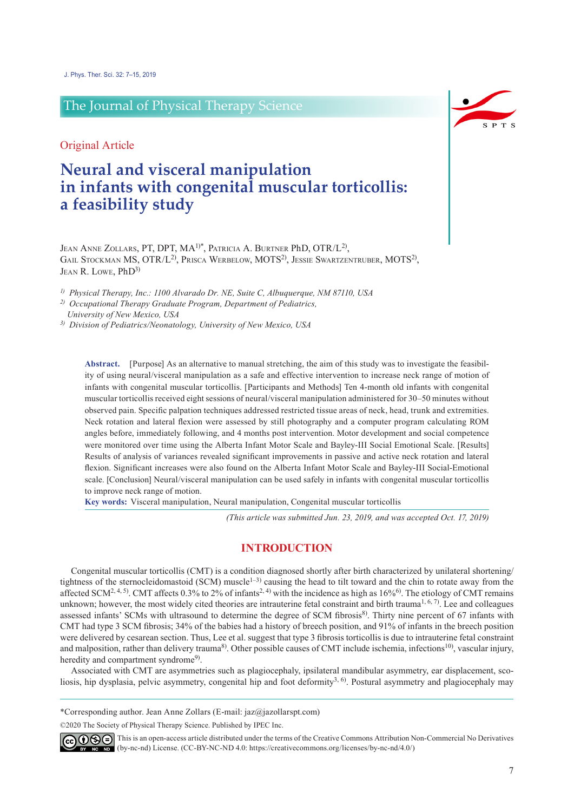# The Journal of Physical Therapy Science

Original Article

# **Neural and visceral manipulation in infants with congenital muscular torticollis: a feasibility study**

JEAN ANNE ZOLLARS, PT, DPT, MA<sup>1)\*</sup>, PATRICIA A. BURTNER PhD, OTR/L<sup>2)</sup>, Gail Stockman MS, OTR/L2), Prisca Werbelow, MOTS2), Jessie Swartzentruber, MOTS2), JEAN R. LOWE, PhD<sup>3)</sup>

*1) Physical Therapy, Inc.: 1100 Alvarado Dr. NE, Suite C, Albuquerque, NM 87110, USA*

*2) Occupational Therapy Graduate Program, Department of Pediatrics, University of New Mexico, USA*

*3) Division of Pediatrics/Neonatology, University of New Mexico, USA*

**Abstract.** [Purpose] As an alternative to manual stretching, the aim of this study was to investigate the feasibility of using neural/visceral manipulation as a safe and effective intervention to increase neck range of motion of infants with congenital muscular torticollis. [Participants and Methods] Ten 4-month old infants with congenital muscular torticollis received eight sessions of neural/visceral manipulation administered for 30–50 minutes without observed pain. Specific palpation techniques addressed restricted tissue areas of neck, head, trunk and extremities. Neck rotation and lateral flexion were assessed by still photography and a computer program calculating ROM angles before, immediately following, and 4 months post intervention. Motor development and social competence were monitored over time using the Alberta Infant Motor Scale and Bayley-III Social Emotional Scale. [Results] Results of analysis of variances revealed significant improvements in passive and active neck rotation and lateral flexion. Significant increases were also found on the Alberta Infant Motor Scale and Bayley-III Social-Emotional scale. [Conclusion] Neural/visceral manipulation can be used safely in infants with congenital muscular torticollis to improve neck range of motion.

**Key words:** Visceral manipulation, Neural manipulation, Congenital muscular torticollis

*(This article was submitted Jun. 23, 2019, and was accepted Oct. 17, 2019)*

## **INTRODUCTION**

Congenital muscular torticollis (CMT) is a condition diagnosed shortly after birth characterized by unilateral shortening/ tightness of the sternocleidomastoid (SCM) muscle<sup>[1–3](#page-7-0))</sup> causing the head to tilt toward and the chin to rotate away from the affected SCM<sup>[2, 4, 5](#page-7-1))</sup>. CMT affects 0.3% to 2% of infants<sup>[2, 4\)](#page-7-1)</sup> with the incidence as high as 16%<sup>[6\)](#page-7-2)</sup>. The etiology of CMT remains unknown; however, the most widely cited theories are intrauterine fetal constraint and birth trauma<sup>[1, 6, 7](#page-7-0))</sup>. Lee and colleagues assessed infants' SCMs with ultrasound to determine the degree of SCM fibrosis<sup>8</sup>. Thirty nine percent of 67 infants with CMT had type 3 SCM fibrosis; 34% of the babies had a history of breech position, and 91% of infants in the breech position were delivered by cesarean section. Thus, Lee et al. suggest that type 3 fibrosis torticollis is due to intrauterine fetal constraint and malposition, rather than delivery trauma<sup>[8\)](#page-7-3)</sup>. Other possible causes of CMT include ischemia, infections<sup>10)</sup>, vascular injury, heredity and compartment syndrome<sup>[9](#page-7-5))</sup>.

Associated with CMT are asymmetries such as plagiocephaly, ipsilateral mandibular asymmetry, ear displacement, sco-liosis, hip dysplasia, pelvic asymmetry, congenital hip and foot deformity<sup>[3, 6\)](#page-7-6)</sup>. Postural asymmetry and plagiocephaly may

\*Corresponding author. Jean Anne Zollars (E-mail: jaz@jazollarspt.com)

©2020 The Society of Physical Therapy Science. Published by IPEC Inc.



**COOO** This is an open-access article distributed under the terms of the Creative Commons Attribution Non-Commercial No Derivatives (by-nc-nd) License. (CC-BY-NC-ND 4.0: https://creativecommons.org/licenses/by-nc-nd/4.0/)

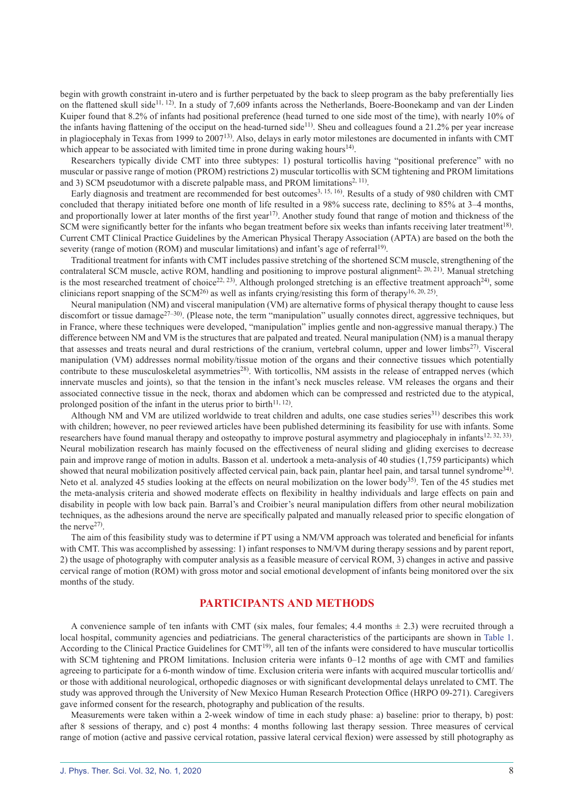begin with growth constraint in-utero and is further perpetuated by the back to sleep program as the baby preferentially lies on the flattened skull side<sup>[11, 12](#page-7-7)</sup>). In a study of 7,609 infants across the Netherlands, Boere-Boonekamp and van der Linden Kuiper found that 8.2% of infants had positional preference (head turned to one side most of the time), with nearly 10% of the infants having flattening of the occiput on the head-turned side<sup>[11](#page-7-7)</sup>). Sheu and colleagues found a 21.2% per year increase in plagiocephaly in Texas from 1999 to 2007<sup>13</sup>. Also, delays in early motor milestones are documented in infants with CMT which appear to be associated with limited time in prone during waking hours<sup>14)</sup>.

Researchers typically divide CMT into three subtypes: 1) postural torticollis having "positional preference" with no muscular or passive range of motion (PROM) restrictions 2) muscular torticollis with SCM tightening and PROM limitations and 3) SCM pseudotumor with a discrete palpable mass, and PROM limitations<sup>2, 11</sup>.

Early diagnosis and treatment are recommended for best outcomes<sup>3, 15, 16</sup>). Results of a study of 980 children with CMT concluded that therapy initiated before one month of life resulted in a 98% success rate, declining to 85% at 3–4 months, and proportionally lower at later months of the first year<sup>17</sup>). Another study found that range of motion and thickness of the SCM were significantly better for the infants who began treatment before six weeks than infants receiving later treatment<sup>[18](#page-8-1))</sup>. Current CMT Clinical Practice Guidelines by the American Physical Therapy Association (APTA) are based on the both the severity (range of motion (ROM) and muscular limitations) and infant's age of referral<sup>[19](#page-8-2))</sup>.

Traditional treatment for infants with CMT includes passive stretching of the shortened SCM muscle, strengthening of the contralateral SCM muscle, active ROM, handling and positioning to improve postural alignment<sup>[2, 20, 21](#page-7-1))</sup>. Manual stretching is the most researched treatment of choice<sup>22, 23</sup>). Although prolonged stretching is an effective treatment approach<sup>[24](#page-8-4)</sup>), some clinicians report snapping of the SCM<sup>26</sup> as well as infants crying/resisting this form of therapy<sup>16, 20, 25)</sup>.

Neural manipulation (NM) and visceral manipulation (VM) are alternative forms of physical therapy thought to cause less discomfort or tissue damage<sup>27–30</sup>). (Please note, the term "manipulation" usually connotes direct, aggressive techniques, but in France, where these techniques were developed, "manipulation" implies gentle and non-aggressive manual therapy.) The difference between NM and VM is the structures that are palpated and treated. Neural manipulation (NM) is a manual therapy that assesses and treats neural and dural restrictions of the cranium, vertebral column, upper and lower limbs $27$ . Visceral manipulation (VM) addresses normal mobility/tissue motion of the organs and their connective tissues which potentially contribute to these musculoskeletal asymmetries<sup>28)</sup>. With torticollis, NM assists in the release of entrapped nerves (which innervate muscles and joints), so that the tension in the infant's neck muscles release. VM releases the organs and their associated connective tissue in the neck, thorax and abdomen which can be compressed and restricted due to the atypical, prolonged position of the infant in the uterus prior to birth $11, 12$ .

Although NM and VM are utilized worldwide to treat children and adults, one case studies series<sup>31)</sup> describes this work with children; however, no peer reviewed articles have been published determining its feasibility for use with infants. Some researchers have found manual therapy and osteopathy to improve postural asymmetry and plagiocephaly in infants<sup>[12, 32, 33](#page-7-10)</sup>). Neural mobilization research has mainly focused on the effectiveness of neural sliding and gliding exercises to decrease pain and improve range of motion in adults. Basson et al. undertook a meta-analysis of 40 studies (1,759 participants) which showed that neural mobilization positively affected cervical pain, back pain, plantar heel pain, and tarsal tunnel syndrome<sup>[34](#page-8-10))</sup>. Neto et al. analyzed 45 studies looking at the effects on neural mobilization on the lower body<sup>[35](#page-8-11))</sup>. Ten of the 45 studies met the meta-analysis criteria and showed moderate effects on flexibility in healthy individuals and large effects on pain and disability in people with low back pain. Barral's and Croibier's neural manipulation differs from other neural mobilization techniques, as the adhesions around the nerve are specifically palpated and manually released prior to specific elongation of the nerve<sup>27)</sup>.

The aim of this feasibility study was to determine if PT using a NM/VM approach was tolerated and beneficial for infants with CMT. This was accomplished by assessing: 1) infant responses to NM/VM during therapy sessions and by parent report, 2) the usage of photography with computer analysis as a feasible measure of cervical ROM, 3) changes in active and passive cervical range of motion (ROM) with gross motor and social emotional development of infants being monitored over the six months of the study.

#### **PARTICIPANTS AND METHODS**

A convenience sample of ten infants with CMT (six males, four females; 4.4 months  $\pm$  2.3) were recruited through a local hospital, community agencies and pediatricians. The general characteristics of the participants are shown in Table 1. According to the Clinical Practice Guidelines for CMT[19](#page-8-2)) , all ten of the infants were considered to have muscular torticollis with SCM tightening and PROM limitations. Inclusion criteria were infants 0–12 months of age with CMT and families agreeing to participate for a 6-month window of time. Exclusion criteria were infants with acquired muscular torticollis and/ or those with additional neurological, orthopedic diagnoses or with significant developmental delays unrelated to CMT. The study was approved through the University of New Mexico Human Research Protection Office (HRPO 09-271). Caregivers gave informed consent for the research, photography and publication of the results.

Measurements were taken within a 2-week window of time in each study phase: a) baseline: prior to therapy, b) post: after 8 sessions of therapy, and c) post 4 months: 4 months following last therapy session. Three measures of cervical range of motion (active and passive cervical rotation, passive lateral cervical flexion) were assessed by still photography as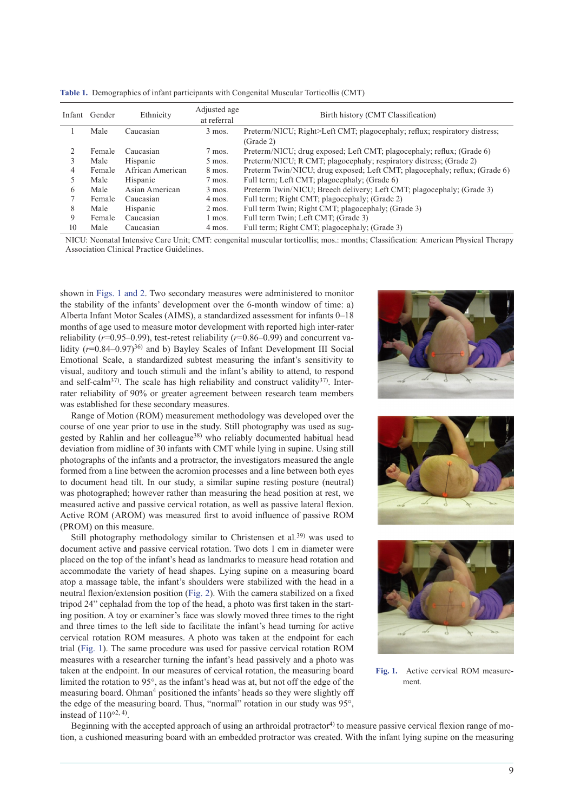|  |  |  |  | Table 1. Demographics of infant participants with Congenital Muscular Torticollis (CMT) |  |  |  |
|--|--|--|--|-----------------------------------------------------------------------------------------|--|--|--|
|--|--|--|--|-----------------------------------------------------------------------------------------|--|--|--|

|    | Infant Gender | Ethnicity        | Adjusted age<br>at referral | Birth history (CMT Classification)                                         |
|----|---------------|------------------|-----------------------------|----------------------------------------------------------------------------|
|    | Male          | Caucasian        | $3$ mos.                    | Preterm/NICU; Right>Left CMT; plagocephaly; reflux; respiratory distress;  |
|    |               |                  |                             | (Grade 2)                                                                  |
|    | Female        | Caucasian        | $7 \text{ mos}$             | Preterm/NICU; drug exposed; Left CMT; plagocephaly; reflux; (Grade 6)      |
|    | Male          | Hispanic         | $5 \text{ mos}$ .           | Preterm/NICU; R CMT; plagocephaly; respiratory distress; (Grade 2)         |
|    | Female        | African American | 8 mos.                      | Preterm Twin/NICU; drug exposed; Left CMT; plagocephaly; reflux; (Grade 6) |
|    | Male          | Hispanic         | 7 mos.                      | Full term; Left CMT; plagocephaly; (Grade 6)                               |
| h  | Male          | Asian American   | $3 \text{ mos}$             | Preterm Twin/NICU; Breech delivery; Left CMT; plagocephaly; (Grade 3)      |
|    | Female        | Caucasian        | $4 \text{ mos}$             | Full term; Right CMT; plagocephaly; (Grade 2)                              |
| 8  | Male          | Hispanic         | $2$ mos.                    | Full term Twin; Right CMT; plagocephaly; (Grade 3)                         |
| 9  | Female        | Caucasian        | 1 mos.                      | Full term Twin; Left CMT; (Grade 3)                                        |
| 10 | Male          | Caucasian        | 4 mos.                      | Full term; Right CMT; plagocephaly; (Grade 3)                              |

NICU: Neonatal Intensive Care Unit; CMT: congenital muscular torticollis; mos.: months; Classification: American Physical Therapy Association Clinical Practice Guidelines.

shown in Figs. 1 and 2. Two secondary measures were administered to monitor the stability of the infants' development over the 6-month window of time: a) Alberta Infant Motor Scales (AIMS), a standardized assessment for infants 0–18 months of age used to measure motor development with reported high inter-rater reliability (*r*=0.95–0.99), test-retest reliability (*r*=0.86–0.99) and concurrent validity  $(r=0.84-0.97)^{36}$  and b) Bayley Scales of Infant Development III Social Emotional Scale, a standardized subtest measuring the infant's sensitivity to visual, auditory and touch stimuli and the infant's ability to attend, to respond and self-calm $37$ ). The scale has high reliability and construct validity $37$ ). Interrater reliability of 90% or greater agreement between research team members was established for these secondary measures.

Range of Motion (ROM) measurement methodology was developed over the course of one year prior to use in the study. Still photography was used as sug-gested by Rahlin and her colleague<sup>[38](#page-8-14))</sup> who reliably documented habitual head deviation from midline of 30 infants with CMT while lying in supine. Using still photographs of the infants and a protractor, the investigators measured the angle formed from a line between the acromion processes and a line between both eyes to document head tilt. In our study, a similar supine resting posture (neutral) was photographed; however rather than measuring the head position at rest, we measured active and passive cervical rotation, as well as passive lateral flexion. Active ROM (AROM) was measured first to avoid influence of passive ROM (PROM) on this measure.

Still photography methodology similar to Christensen et al*.* [39](#page-8-15)) was used to document active and passive cervical rotation. Two dots 1 cm in diameter were placed on the top of the infant's head as landmarks to measure head rotation and accommodate the variety of head shapes. Lying supine on a measuring board atop a massage table, the infant's shoulders were stabilized with the head in a neutral flexion/extension position (Fig. 2). With the camera stabilized on a fixed tripod 24" cephalad from the top of the head, a photo was first taken in the starting position. A toy or examiner's face was slowly moved three times to the right and three times to the left side to facilitate the infant's head turning for active cervical rotation ROM measures. A photo was taken at the endpoint for each trial (Fig. 1). The same procedure was used for passive cervical rotation ROM measures with a researcher turning the infant's head passively and a photo was taken at the endpoint. In our measures of cervical rotation, the measuring board limited the rotation to 95°, as the infant's head was at, but not off the edge of the measuring board. Ohman<sup>4</sup> positioned the infants' heads so they were slightly off the edge of the measuring board. Thus, "normal" rotation in our study was 95°, instead of  $110^{\circ 2}$ , 4).







**Fig. 1.** Active cervical ROM measurement.

Beginning with the accepted approach of using an arthroidal protractor $4$  to measure passive cervical flexion range of motion, a cushioned measuring board with an embedded protractor was created. With the infant lying supine on the measuring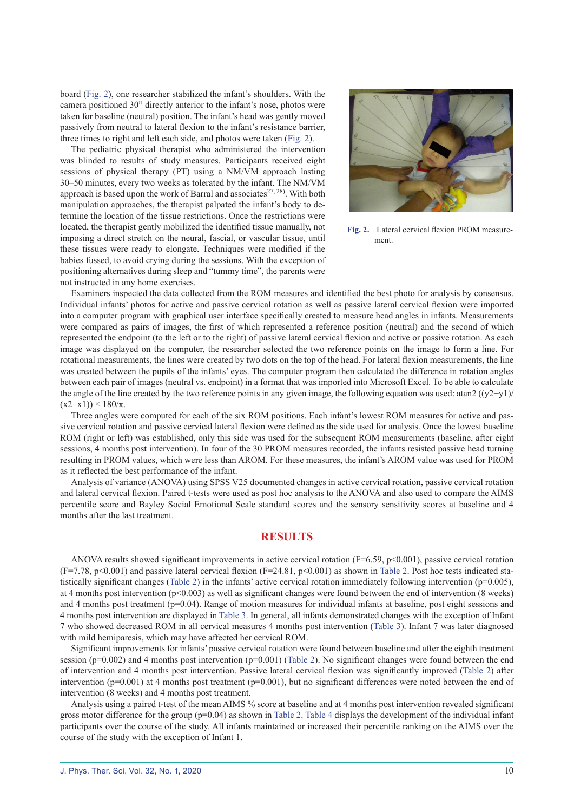board (Fig. 2), one researcher stabilized the infant's shoulders. With the camera positioned 30" directly anterior to the infant's nose, photos were taken for baseline (neutral) position. The infant's head was gently moved passively from neutral to lateral flexion to the infant's resistance barrier, three times to right and left each side, and photos were taken (Fig. 2).

The pediatric physical therapist who administered the intervention was blinded to results of study measures. Participants received eight sessions of physical therapy (PT) using a NM/VM approach lasting 30–50 minutes, every two weeks as tolerated by the infant. The NM/VM approach is based upon the work of Barral and associates<sup>[27, 28](#page-8-7)</sup>). With both manipulation approaches, the therapist palpated the infant's body to determine the location of the tissue restrictions. Once the restrictions were located, the therapist gently mobilized the identified tissue manually, not imposing a direct stretch on the neural, fascial, or vascular tissue, until these tissues were ready to elongate. Techniques were modified if the babies fussed, to avoid crying during the sessions. With the exception of positioning alternatives during sleep and "tummy time", the parents were not instructed in any home exercises.



**Fig. 2.** Lateral cervical flexion PROM measurement.

Examiners inspected the data collected from the ROM measures and identified the best photo for analysis by consensus. Individual infants' photos for active and passive cervical rotation as well as passive lateral cervical flexion were imported into a computer program with graphical user interface specifically created to measure head angles in infants. Measurements were compared as pairs of images, the first of which represented a reference position (neutral) and the second of which represented the endpoint (to the left or to the right) of passive lateral cervical flexion and active or passive rotation. As each image was displayed on the computer, the researcher selected the two reference points on the image to form a line. For rotational measurements, the lines were created by two dots on the top of the head. For lateral flexion measurements, the line was created between the pupils of the infants' eyes. The computer program then calculated the difference in rotation angles between each pair of images (neutral vs. endpoint) in a format that was imported into Microsoft Excel. To be able to calculate the angle of the line created by the two reference points in any given image, the following equation was used: atan2 ((y2−y1)/  $(x2-x1)$ ) × 180/ $\pi$ .

Three angles were computed for each of the six ROM positions. Each infant's lowest ROM measures for active and passive cervical rotation and passive cervical lateral flexion were defined as the side used for analysis. Once the lowest baseline ROM (right or left) was established, only this side was used for the subsequent ROM measurements (baseline, after eight sessions, 4 months post intervention). In four of the 30 PROM measures recorded, the infants resisted passive head turning resulting in PROM values, which were less than AROM. For these measures, the infant's AROM value was used for PROM as it reflected the best performance of the infant.

Analysis of variance (ANOVA) using SPSS V25 documented changes in active cervical rotation, passive cervical rotation and lateral cervical flexion. Paired t-tests were used as post hoc analysis to the ANOVA and also used to compare the AIMS percentile score and Bayley Social Emotional Scale standard scores and the sensory sensitivity scores at baseline and 4 months after the last treatment.

#### **RESULTS**

ANOVA results showed significant improvements in active cervical rotation (F=6.59, p<0.001), passive cervical rotation (F=7.78, p<0.001) and passive lateral cervical flexion (F=24.81, p<0.001) as shown in Table 2. Post hoc tests indicated statistically significant changes (Table 2) in the infants' active cervical rotation immediately following intervention ( $p=0.005$ ), at 4 months post intervention ( $p<0.003$ ) as well as significant changes were found between the end of intervention (8 weeks) and 4 months post treatment ( $p=0.04$ ). Range of motion measures for individual infants at baseline, post eight sessions and 4 months post intervention are displayed in Table 3. In general, all infants demonstrated changes with the exception of Infant 7 who showed decreased ROM in all cervical measures 4 months post intervention (Table 3). Infant 7 was later diagnosed with mild hemiparesis, which may have affected her cervical ROM.

Significant improvements for infants' passive cervical rotation were found between baseline and after the eighth treatment session ( $p=0.002$ ) and 4 months post intervention ( $p=0.001$ ) (Table 2). No significant changes were found between the end of intervention and 4 months post intervention. Passive lateral cervical flexion was significantly improved (Table 2) after intervention ( $p=0.001$ ) at 4 months post treatment ( $p=0.001$ ), but no significant differences were noted between the end of intervention (8 weeks) and 4 months post treatment.

Analysis using a paired t-test of the mean AIMS % score at baseline and at 4 months post intervention revealed significant gross motor difference for the group  $(p=0.04)$  as shown in Table 2. Table 4 displays the development of the individual infant participants over the course of the study. All infants maintained or increased their percentile ranking on the AIMS over the course of the study with the exception of Infant 1.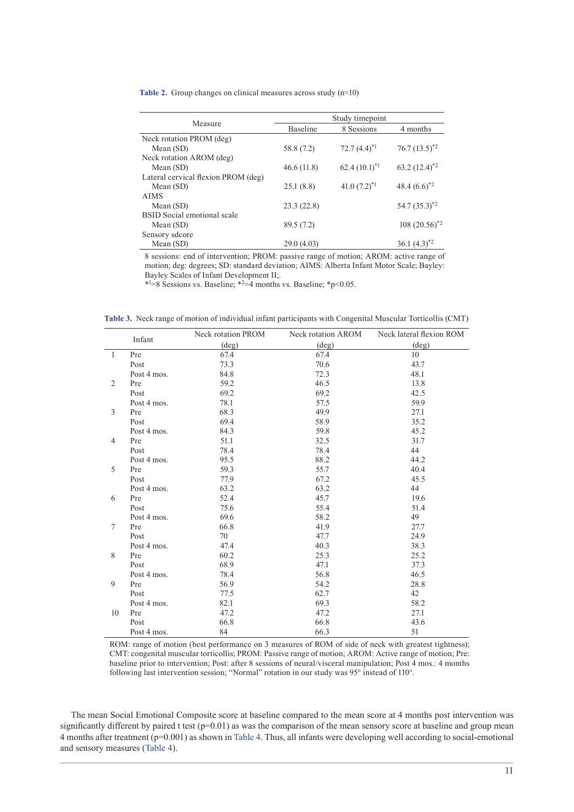|  |  |  | Table 2. Group changes on clinical measures across study $(n=10)$ |  |  |  |  |  |
|--|--|--|-------------------------------------------------------------------|--|--|--|--|--|
|--|--|--|-------------------------------------------------------------------|--|--|--|--|--|

|                                     | Study timepoint |                    |                    |  |  |
|-------------------------------------|-----------------|--------------------|--------------------|--|--|
| Measure                             | Baseline        | 8 Sessions         | 4 months           |  |  |
| Neck rotation PROM (deg)            |                 |                    |                    |  |  |
| Mean $(SD)$                         | 58.8 (7.2)      | $72.7 (4.4)^{*1}$  | $76.7 (13.5)^{*2}$ |  |  |
| Neck rotation AROM (deg)            |                 |                    |                    |  |  |
| Mean (SD)                           | 46.6(11.8)      | $62.4 (10.1)^{*1}$ | 63.2 $(12.4)^{*2}$ |  |  |
| Lateral cervical flexion PROM (deg) |                 |                    |                    |  |  |
| Mean (SD)                           | 25.1(8.8)       | 41.0 $(7.2)^{*1}$  | 48.4 $(6.6)^{*2}$  |  |  |
| <b>AIMS</b>                         |                 |                    |                    |  |  |
| Mean (SD)                           | 23.3(22.8)      |                    | $54.7 (35.3)^{*2}$ |  |  |
| <b>BSID</b> Social emotional scale  |                 |                    |                    |  |  |
| Mean (SD)                           | 89.5 (7.2)      |                    | $108 (20.56)^{*2}$ |  |  |
| Sensory sdcore                      |                 |                    |                    |  |  |
| Mean (SD)                           | 29.0(4.03)      |                    | $36.1 (4.3)^{*2}$  |  |  |

8 sessions: end of intervention; PROM: passive range of motion; AROM: active range of motion; deg: degrees; SD: standard deviation; AIMS: Alberta Infant Motor Scale; Bayley: Bayley Scales of Infant Development II;.

\* $l=8$  Sessions vs. Baseline; \* $l=4$  months vs. Baseline; \*p<0.05.

**Table 3.** Neck range of motion of individual infant participants with Congenital Muscular Torticollis (CMT)

| Infant         |             | Neck rotation PROM | Neck rotation AROM | Neck lateral flexion ROM |
|----------------|-------------|--------------------|--------------------|--------------------------|
|                |             | $(\text{deg})$     | $(\text{deg})$     | $(\text{deg})$           |
| $\mathbf{1}$   | Pre         | 67.4               | 67.4               | 10                       |
|                | Post        | 73.3               | 70.6               | 43.7                     |
|                | Post 4 mos. | 84.8               | 72.3               | 48.1                     |
| $\overline{2}$ | Pre         | 59.2               | 46.5               | 13.8                     |
|                | Post        | 69.2               | 69.2               | 42.5                     |
|                | Post 4 mos. | 78.1               | 57.5               | 59.9                     |
| 3              | Pre         | 68.3               | 49.9               | 27.1                     |
|                | Post        | 69.4               | 58.9               | 35.2                     |
|                | Post 4 mos. | 84.3               | 59.8               | 45.2                     |
| 4              | Pre         | 51.1               | 32.5               | 31.7                     |
|                | Post        | 78.4               | 78.4               | 44                       |
|                | Post 4 mos. | 95.5               | 88.2               | 44.2                     |
| 5              | Pre         | 59.3               | 55.7               | 40.4                     |
|                | Post        | 77.9               | 67.2               | 45.5                     |
|                | Post 4 mos. | 63.2               | 63.2               | 44                       |
| 6              | Pre         | 52.4               | 45.7               | 19.6                     |
|                | Post        | 75.6               | 55.4               | 51.4                     |
|                | Post 4 mos. | 69.6               | 58.2               | 49                       |
| 7              | Pre         | 66.8               | 41.9               | 27.7                     |
|                | Post        | 70                 | 47.7               | 24.9                     |
|                | Post 4 mos. | 47.4               | 40.3               | 38.3                     |
| 8              | Pre         | 60.2               | 25.3               | 25.2                     |
|                | Post        | 68.9               | 47.1               | 37.3                     |
|                | Post 4 mos. | 78.4               | 56.8               | 46.5                     |
| 9              | Pre         | 56.9               | 54.2               | 28.8                     |
|                | Post        | 77.5               | 62.7               | 42                       |
|                | Post 4 mos. | 82.1               | 69.3               | 58.2                     |
| 10             | Pre         | 47.2               | 47.2               | 27.1                     |
|                | Post        | 66.8               | 66.8               | 43.6                     |
|                | Post 4 mos. | 84                 | 66.3               | 51                       |

ROM: range of motion (best performance on 3 measures of ROM of side of neck with greatest tightness); CMT: congenital muscular torticollis; PROM: Passive range of motion; AROM: Active range of motion; Pre: baseline prior to intervention; Post: after 8 sessions of neural/visceral manipulation; Post 4 mos.: 4 months following last intervention session; "Normal" rotation in our study was 95° instead of 110°.

The mean Social Emotional Composite score at baseline compared to the mean score at 4 months post intervention was significantly different by paired t test  $(p=0.01)$  as was the comparison of the mean sensory score at baseline and group mean 4 months after treatment (p=0.001) as shown in Table 4. Thus, all infants were developing well according to social-emotional and sensory measures (Table 4).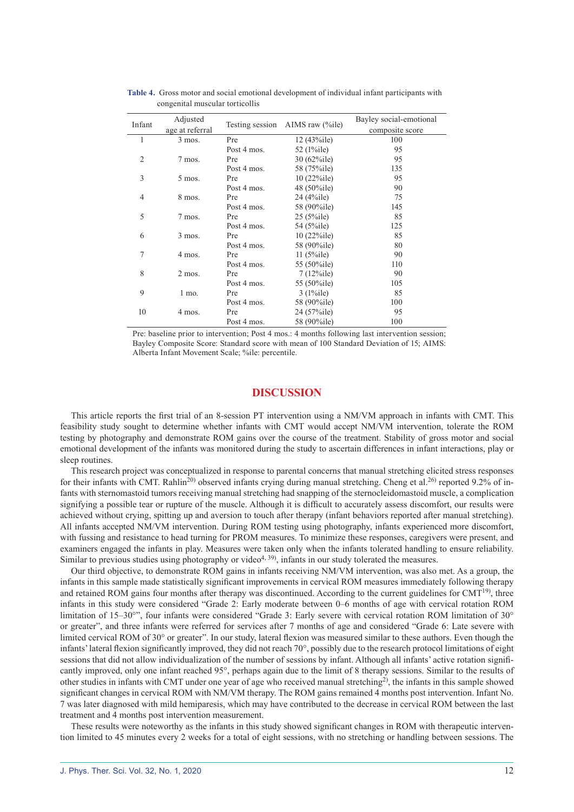| Infant         | Adjusted<br>age at referral | Testing session | AIMS raw (%ile) | Bayley social-emotional<br>composite score |
|----------------|-----------------------------|-----------------|-----------------|--------------------------------------------|
| 1              | $3$ mos.                    | Pre             | 12 (43%ile)     | 100                                        |
|                |                             | Post 4 mos.     | 52 (1%ile)      | 95                                         |
| $\overline{2}$ | 7 mos.                      | Pre             | $30(62\%ile)$   | 95                                         |
|                |                             | Post 4 mos.     | 58 (75%ile)     | 135                                        |
| 3              | $5$ mos.                    | Pre             | $10(22\%ile)$   | 95                                         |
|                |                             | Post 4 mos.     | 48 (50%ile)     | 90                                         |
| 4              | 8 mos.                      | Pre             | 24 (4%ile)      | 75                                         |
|                |                             | Post 4 mos.     | 58 (90%ile)     | 145                                        |
| 5              | 7 mos.                      | Pre             | 25 (5%ile)      | 85                                         |
|                |                             | Post 4 mos.     | 54 (5%ile)      | 125                                        |
| 6              | $3$ mos.                    | Pre             | $10(22\%ile)$   | 85                                         |
|                |                             | Post 4 mos.     | 58 (90%ile)     | 80                                         |
| 7              | 4 mos.                      | Pre             | 11 $(5\%$ ile)  | 90                                         |
|                |                             | Post 4 mos.     | 55 (50%ile)     | 110                                        |
| 8              | $2$ mos.                    | Pre             | $7(12\%ile)$    | 90                                         |
|                |                             | Post 4 mos.     | 55 (50%ile)     | 105                                        |
| 9              | $1 \text{ mo}$ .            | Pre             | $3(1\%ile)$     | 85                                         |
|                |                             | Post 4 mos.     | 58 (90%ile)     | 100                                        |
| 10             | 4 mos.                      | Pre             | 24 (57%ile)     | 95                                         |
|                |                             | Post 4 mos.     | 58 (90%ile)     | 100                                        |

**Table 4.** Gross motor and social emotional development of individual infant participants with congenital muscular torticollis

Pre: baseline prior to intervention; Post 4 mos.: 4 months following last intervention session; Bayley Composite Score: Standard score with mean of 100 Standard Deviation of 15; AIMS: Alberta Infant Movement Scale; %ile: percentile.

### **DISCUSSION**

This article reports the first trial of an 8-session PT intervention using a NM/VM approach in infants with CMT. This feasibility study sought to determine whether infants with CMT would accept NM/VM intervention, tolerate the ROM testing by photography and demonstrate ROM gains over the course of the treatment. Stability of gross motor and social emotional development of the infants was monitored during the study to ascertain differences in infant interactions, play or sleep routines.

This research project was conceptualized in response to parental concerns that manual stretching elicited stress responses for their infants with CMT. Rahlin<sup>20</sup> observed infants crying during manual stretching. Cheng et al.<sup>26</sup> reported 9.2% of infants with sternomastoid tumors receiving manual stretching had snapping of the sternocleidomastoid muscle, a complication signifying a possible tear or rupture of the muscle. Although it is difficult to accurately assess discomfort, our results were achieved without crying, spitting up and aversion to touch after therapy (infant behaviors reported after manual stretching). All infants accepted NM/VM intervention. During ROM testing using photography, infants experienced more discomfort, with fussing and resistance to head turning for PROM measures. To minimize these responses, caregivers were present, and examiners engaged the infants in play. Measures were taken only when the infants tolerated handling to ensure reliability. Similar to previous studies using photography or video<sup>[4, 39](#page-7-11)</sup>, infants in our study tolerated the measures.

Our third objective, to demonstrate ROM gains in infants receiving NM/VM intervention, was also met. As a group, the infants in this sample made statistically significant improvements in cervical ROM measures immediately following therapy and retained ROM gains four months after therapy was discontinued. According to the current guidelines for  $CMT^{19}$  $CMT^{19}$  $CMT^{19}$ , three infants in this study were considered "Grade 2: Early moderate between 0–6 months of age with cervical rotation ROM limitation of 15–30°", four infants were considered "Grade 3: Early severe with cervical rotation ROM limitation of 30° or greater", and three infants were referred for services after 7 months of age and considered "Grade 6: Late severe with limited cervical ROM of 30° or greater". In our study, lateral flexion was measured similar to these authors. Even though the infants' lateral flexion significantly improved, they did not reach 70°, possibly due to the research protocol limitations of eight sessions that did not allow individualization of the number of sessions by infant. Although all infants' active rotation significantly improved, only one infant reached 95°, perhaps again due to the limit of 8 therapy sessions. Similar to the results of other studies in infants with CMT under one year of age who received manual stretching[2](#page-7-1)) , the infants in this sample showed significant changes in cervical ROM with NM/VM therapy. The ROM gains remained 4 months post intervention. Infant No. 7 was later diagnosed with mild hemiparesis, which may have contributed to the decrease in cervical ROM between the last treatment and 4 months post intervention measurement.

These results were noteworthy as the infants in this study showed significant changes in ROM with therapeutic intervention limited to 45 minutes every 2 weeks for a total of eight sessions, with no stretching or handling between sessions. The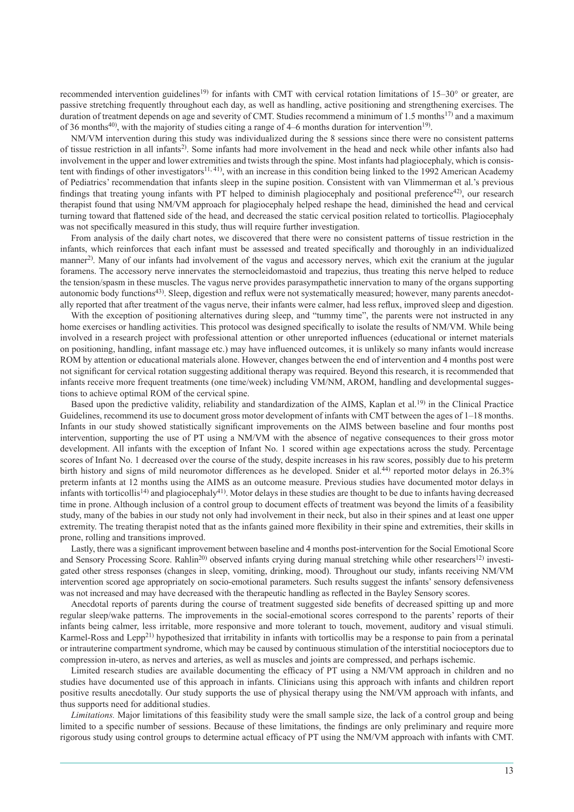recommended intervention guidelines<sup>[19](#page-8-2))</sup> for infants with CMT with cervical rotation limitations of 15–30° or greater, are passive stretching frequently throughout each day, as well as handling, active positioning and strengthening exercises. The duration of treatment depends on age and severity of CMT. Studies recommend a minimum of 1.5 months<sup>17)</sup> and a maximum of 36 months<sup>[40](#page-8-17)</sup>), with the majority of studies citing a range of 4–6 months duration for intervention<sup>[19](#page-8-2))</sup>.

NM/VM intervention during this study was individualized during the 8 sessions since there were no consistent patterns of tissue restriction in all infants<sup>[2](#page-7-1))</sup>. Some infants had more involvement in the head and neck while other infants also had involvement in the upper and lower extremities and twists through the spine. Most infants had plagiocephaly, which is consis-tent with findings of other investigators<sup>[11, 41](#page-7-7)</sup>), with an increase in this condition being linked to the 1992 American Academy of Pediatrics' recommendation that infants sleep in the supine position. Consistent with van Vlimmerman et al.'s previous findings that treating young infants with PT helped to diminish plagiocephaly and positional preference<sup>[42\)](#page-8-18)</sup>, our research therapist found that using NM/VM approach for plagiocephaly helped reshape the head, diminished the head and cervical turning toward that flattened side of the head, and decreased the static cervical position related to torticollis. Plagiocephaly was not specifically measured in this study, thus will require further investigation.

From analysis of the daily chart notes, we discovered that there were no consistent patterns of tissue restriction in the infants, which reinforces that each infant must be assessed and treated specifically and thoroughly in an individualized manner<sup>[2](#page-7-1))</sup>. Many of our infants had involvement of the vagus and accessory nerves, which exit the cranium at the jugular foramens. The accessory nerve innervates the sternocleidomastoid and trapezius, thus treating this nerve helped to reduce the tension/spasm in these muscles. The vagus nerve provides parasympathetic innervation to many of the organs supporting autonomic body functions<sup>[43\)](#page-8-19)</sup>. Sleep, digestion and reflux were not systematically measured; however, many parents anecdotally reported that after treatment of the vagus nerve, their infants were calmer, had less reflux, improved sleep and digestion.

With the exception of positioning alternatives during sleep, and "tummy time", the parents were not instructed in any home exercises or handling activities. This protocol was designed specifically to isolate the results of NM/VM. While being involved in a research project with professional attention or other unreported influences (educational or internet materials on positioning, handling, infant massage etc.) may have influenced outcomes, it is unlikely so many infants would increase ROM by attention or educational materials alone. However, changes between the end of intervention and 4 months post were not significant for cervical rotation suggesting additional therapy was required. Beyond this research, it is recommended that infants receive more frequent treatments (one time/week) including VM/NM, AROM, handling and developmental suggestions to achieve optimal ROM of the cervical spine.

Based upon the predictive validity, reliability and standardization of the AIMS, Kaplan et al.<sup>[19](#page-8-2))</sup> in the Clinical Practice Guidelines, recommend its use to document gross motor development of infants with CMT between the ages of 1–18 months. Infants in our study showed statistically significant improvements on the AIMS between baseline and four months post intervention, supporting the use of PT using a NM/VM with the absence of negative consequences to their gross motor development. All infants with the exception of Infant No. 1 scored within age expectations across the study. Percentage scores of Infant No. 1 decreased over the course of the study, despite increases in his raw scores, possibly due to his preterm birth history and signs of mild neuromotor differences as he developed. Snider et al.<sup>[44\)](#page-8-20)</sup> reported motor delays in  $26.3\%$ preterm infants at 12 months using the AIMS as an outcome measure. Previous studies have documented motor delays in infants with torticollis<sup>14</sup> and plagiocephaly<sup>41</sup>. Motor delays in these studies are thought to be due to infants having decreased time in prone. Although inclusion of a control group to document effects of treatment was beyond the limits of a feasibility study, many of the babies in our study not only had involvement in their neck, but also in their spines and at least one upper extremity. The treating therapist noted that as the infants gained more flexibility in their spine and extremities, their skills in prone, rolling and transitions improved.

Lastly, there was a significant improvement between baseline and 4 months post-intervention for the Social Emotional Score and Sensory Processing Score. Rahlin<sup>20</sup> observed infants crying during manual stretching while other researchers<sup>12</sup> investigated other stress responses (changes in sleep, vomiting, drinking, mood). Throughout our study, infants receiving NM/VM intervention scored age appropriately on socio-emotional parameters. Such results suggest the infants' sensory defensiveness was not increased and may have decreased with the therapeutic handling as reflected in the Bayley Sensory scores.

Anecdotal reports of parents during the course of treatment suggested side benefits of decreased spitting up and more regular sleep/wake patterns. The improvements in the social-emotional scores correspond to the parents' reports of their infants being calmer, less irritable, more responsive and more tolerant to touch, movement, auditory and visual stimuli. Karmel-Ross and Lepp<sup>[21\)](#page-8-22)</sup> hypothesized that irritability in infants with torticollis may be a response to pain from a perinatal or intrauterine compartment syndrome, which may be caused by continuous stimulation of the interstitial nocioceptors due to compression in-utero, as nerves and arteries, as well as muscles and joints are compressed, and perhaps ischemic.

Limited research studies are available documenting the efficacy of PT using a NM/VM approach in children and no studies have documented use of this approach in infants. Clinicians using this approach with infants and children report positive results anecdotally. Our study supports the use of physical therapy using the NM/VM approach with infants, and thus supports need for additional studies.

*Limitations.* Major limitations of this feasibility study were the small sample size, the lack of a control group and being limited to a specific number of sessions. Because of these limitations, the findings are only preliminary and require more rigorous study using control groups to determine actual efficacy of PT using the NM/VM approach with infants with CMT.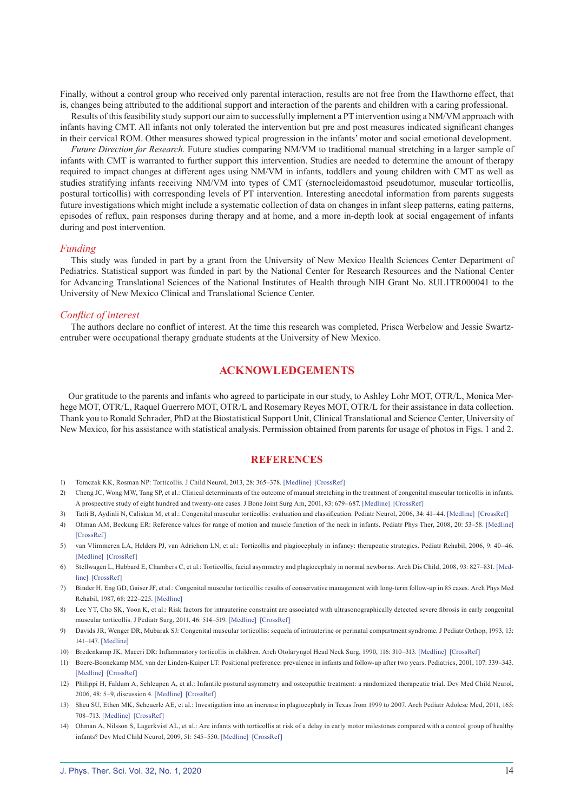Finally, without a control group who received only parental interaction, results are not free from the Hawthorne effect, that is, changes being attributed to the additional support and interaction of the parents and children with a caring professional.

Results of this feasibility study support our aim to successfully implement a PT intervention using a NM/VM approach with infants having CMT. All infants not only tolerated the intervention but pre and post measures indicated significant changes in their cervical ROM. Other measures showed typical progression in the infants' motor and social emotional development.

*Future Direction for Research.* Future studies comparing NM/VM to traditional manual stretching in a larger sample of infants with CMT is warranted to further support this intervention. Studies are needed to determine the amount of therapy required to impact changes at different ages using NM/VM in infants, toddlers and young children with CMT as well as studies stratifying infants receiving NM/VM into types of CMT (sternocleidomastoid pseudotumor, muscular torticollis, postural torticollis) with corresponding levels of PT intervention. Interesting anecdotal information from parents suggests future investigations which might include a systematic collection of data on changes in infant sleep patterns, eating patterns, episodes of reflux, pain responses during therapy and at home, and a more in-depth look at social engagement of infants during and post intervention.

#### *Funding*

This study was funded in part by a grant from the University of New Mexico Health Sciences Center Department of Pediatrics. Statistical support was funded in part by the National Center for Research Resources and the National Center for Advancing Translational Sciences of the National Institutes of Health through NIH Grant No. 8UL1TR000041 to the University of New Mexico Clinical and Translational Science Center.

#### *Conflict of interest*

The authors declare no conflict of interest. At the time this research was completed, Prisca Werbelow and Jessie Swartzentruber were occupational therapy graduate students at the University of New Mexico.

### **Acknowledgements**

Our gratitude to the parents and infants who agreed to participate in our study, to Ashley Lohr MOT, OTR/L, Monica Merhege MOT, OTR/L, Raquel Guerrero MOT, OTR/L and Rosemary Reyes MOT, OTR/L for their assistance in data collection. Thank you to Ronald Schrader, PhD at the Biostatistical Support Unit, Clinical Translational and Science Center, University of New Mexico, for his assistance with statistical analysis. Permission obtained from parents for usage of photos in Figs. 1 and 2.

#### **REFERENCES**

- <span id="page-7-0"></span>1) Tomczak KK, Rosman NP: Torticollis. J Child Neurol, 2013, 28: 365–378. [Medline] [CrossRef]
- <span id="page-7-1"></span>2) Cheng JC, Wong MW, Tang SP, et al.: Clinical determinants of the outcome of manual stretching in the treatment of congenital muscular torticollis in infants. A prospective study of eight hundred and twenty-one cases. J Bone Joint Surg Am, 2001, 83: 679–687. [Medline] [CrossRef]
- <span id="page-7-6"></span>3) Tatli B, Aydinli N, Caliskan M, et al.: Congenital muscular torticollis: evaluation and classification. Pediatr Neurol, 2006, 34: 41–44. [Medline] [CrossRef]
- <span id="page-7-11"></span>4) Ohman AM, Beckung ER: Reference values for range of motion and muscle function of the neck in infants. Pediatr Phys Ther, 2008, 20: 53–58. [Medline] [CrossRef]
- 5) van Vlimmeren LA, Helders PJ, van Adrichem LN, et al.: Torticollis and plagiocephaly in infancy: therapeutic strategies. Pediatr Rehabil, 2006, 9: 40–46. [Medline] [CrossRef]
- <span id="page-7-2"></span>6) Stellwagen L, Hubbard E, Chambers C, et al.: Torticollis, facial asymmetry and plagiocephaly in normal newborns. Arch Dis Child, 2008, 93: 827–831. [Medline] [CrossRef]
- 7) Binder H, Eng GD, Gaiser JF, et al.: Congenital muscular torticollis: results of conservative management with long-term follow-up in 85 cases. Arch Phys Med Rehabil, 1987, 68: 222–225. [Medline]
- <span id="page-7-3"></span>8) Lee YT, Cho SK, Yoon K, et al.: Risk factors for intrauterine constraint are associated with ultrasonographically detected severe fibrosis in early congenital muscular torticollis. J Pediatr Surg, 2011, 46: 514–519. [Medline] [CrossRef]
- <span id="page-7-5"></span>9) Davids JR, Wenger DR, Mubarak SJ: Congenital muscular torticollis: sequela of intrauterine or perinatal compartment syndrome. J Pediatr Orthop, 1993, 13: 141–147. [Medline]
- <span id="page-7-4"></span>10) Bredenkamp JK, Maceri DR: Inflammatory torticollis in children. Arch Otolaryngol Head Neck Surg, 1990, 116: 310–313. [Medline] [CrossRef]
- <span id="page-7-7"></span>11) Boere-Boonekamp MM, van der Linden-Kuiper LT: Positional preference: prevalence in infants and follow-up after two years. Pediatrics, 2001, 107: 339–343. [Medline] [CrossRef]
- <span id="page-7-10"></span>12) Philippi H, Faldum A, Schleupen A, et al.: Infantile postural asymmetry and osteopathic treatment: a randomized therapeutic trial. Dev Med Child Neurol, 2006, 48: 5–9, discussion 4. [Medline] [CrossRef]
- <span id="page-7-8"></span>13) Sheu SU, Ethen MK, Scheuerle AE, et al.: Investigation into an increase in plagiocephaly in Texas from 1999 to 2007. Arch Pediatr Adolesc Med, 2011, 165: 708–713. [Medline] [CrossRef]
- <span id="page-7-9"></span>14) Ohman A, Nilsson S, Lagerkvist AL, et al.: Are infants with torticollis at risk of a delay in early motor milestones compared with a control group of healthy infants? Dev Med Child Neurol, 2009, 51: 545–550. [Medline] [CrossRef]